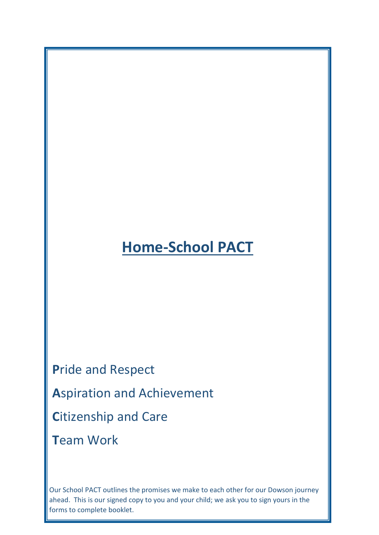## **Home-School PACT**

**P**ride and Respect **A**spiration and Achievement **Citizenship and Care T**eam Work

Our School PACT outlines the promises we make to each other for our Dowson journey ahead. This is our signed copy to you and your child; we ask you to sign yours in the forms to complete booklet.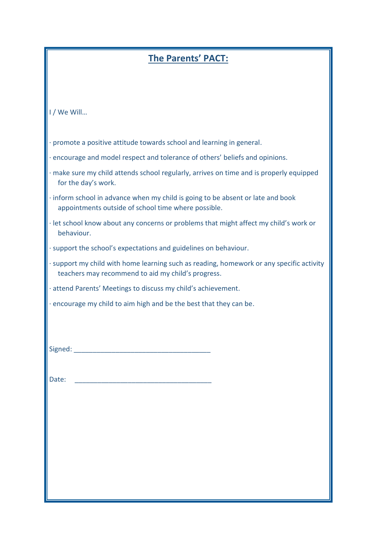## **The Parents' PACT:**

| I / We Will                                                                                                                                                                                                                   |
|-------------------------------------------------------------------------------------------------------------------------------------------------------------------------------------------------------------------------------|
| · promote a positive attitude towards school and learning in general.                                                                                                                                                         |
| · encourage and model respect and tolerance of others' beliefs and opinions.                                                                                                                                                  |
| · make sure my child attends school regularly, arrives on time and is properly equipped<br>for the day's work.                                                                                                                |
| · inform school in advance when my child is going to be absent or late and book<br>appointments outside of school time where possible.                                                                                        |
| · let school know about any concerns or problems that might affect my child's work or<br>behaviour.                                                                                                                           |
| · support the school's expectations and guidelines on behaviour.                                                                                                                                                              |
| · support my child with home learning such as reading, homework or any specific activity<br>teachers may recommend to aid my child's progress.                                                                                |
| · attend Parents' Meetings to discuss my child's achievement.                                                                                                                                                                 |
| · encourage my child to aim high and be the best that they can be.                                                                                                                                                            |
|                                                                                                                                                                                                                               |
|                                                                                                                                                                                                                               |
| Signed: The Company of the Company of the Company of the Company of the Company of the Company of the Company of the Company of the Company of the Company of the Company of the Company of the Company of the Company of the |
|                                                                                                                                                                                                                               |
| Date:                                                                                                                                                                                                                         |
|                                                                                                                                                                                                                               |
|                                                                                                                                                                                                                               |
|                                                                                                                                                                                                                               |
|                                                                                                                                                                                                                               |
|                                                                                                                                                                                                                               |
|                                                                                                                                                                                                                               |
|                                                                                                                                                                                                                               |
|                                                                                                                                                                                                                               |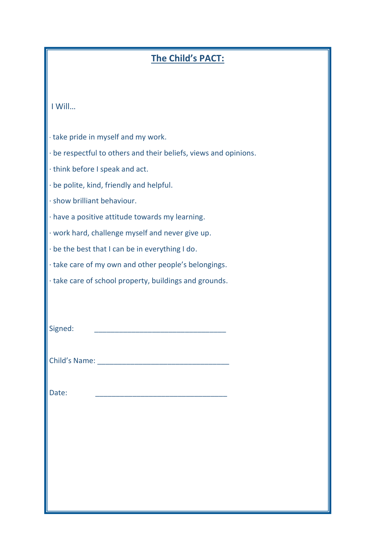## **The Child's PACT:**

| I Will                                                           |
|------------------------------------------------------------------|
| · take pride in myself and my work.                              |
| · be respectful to others and their beliefs, views and opinions. |
| · think before I speak and act.                                  |
| · be polite, kind, friendly and helpful.                         |
| · show brilliant behaviour.                                      |
| · have a positive attitude towards my learning.                  |
| · work hard, challenge myself and never give up.                 |
| · be the best that I can be in everything I do.                  |
| · take care of my own and other people's belongings.             |
| · take care of school property, buildings and grounds.           |
|                                                                  |
|                                                                  |
| Signed:                                                          |
|                                                                  |
|                                                                  |
|                                                                  |
| Date:                                                            |
|                                                                  |
|                                                                  |
|                                                                  |
|                                                                  |
|                                                                  |
|                                                                  |